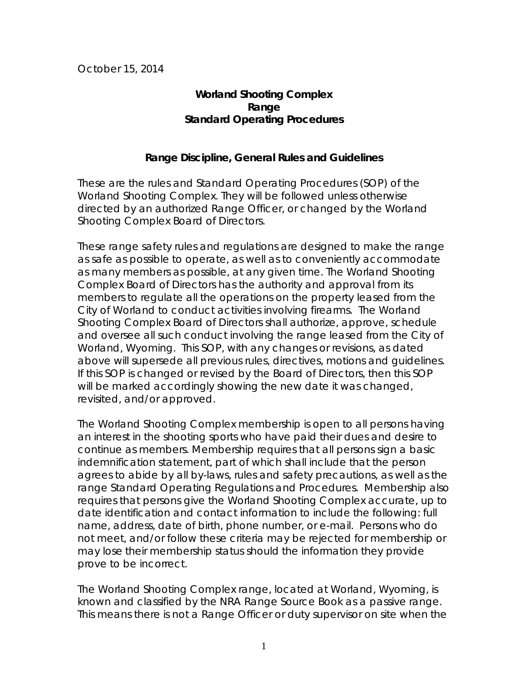October 15, 2014

# **Worland Shooting Complex Range Standard Operating Procedures**

## **Range Discipline, General Rules and Guidelines**

These are the rules and Standard Operating Procedures (SOP) of the Worland Shooting Complex. They will be followed unless otherwise directed by an authorized Range Officer, or changed by the Worland Shooting Complex Board of Directors.

These range safety rules and regulations are designed to make the range as safe as possible to operate, as well as to conveniently accommodate as many members as possible, at any given time. The Worland Shooting Complex Board of Directors has the authority and approval from its members to regulate all the operations on the property leased from the City of Worland to conduct activities involving firearms. The Worland Shooting Complex Board of Directors shall authorize, approve, schedule and oversee all such conduct involving the range leased from the City of Worland, Wyoming. This SOP, with any changes or revisions, as dated above will supersede all previous rules, directives, motions and guidelines. If this SOP is changed or revised by the Board of Directors, then this SOP will be marked accordingly showing the new date it was changed, revisited, and/or approved.

The Worland Shooting Complex membership is open to all persons having an interest in the shooting sports who have paid their dues and desire to continue as members. Membership requires that all persons sign a basic indemnification statement, part of which shall include that the person agrees to abide by all by-laws, rules and safety precautions, as well as the range Standard Operating Regulations and Procedures. Membership also requires that persons give the Worland Shooting Complex accurate, up to date identification and contact information to include the following: full name, address, date of birth, phone number, or e-mail. Persons who do not meet, and/or follow these criteria may be rejected for membership or may lose their membership status should the information they provide prove to be incorrect.

The Worland Shooting Complex range, located at Worland, Wyoming, is known and classified by the NRA Range Source Book as a passive range. This means there is not a Range Officer or duty supervisor on site when the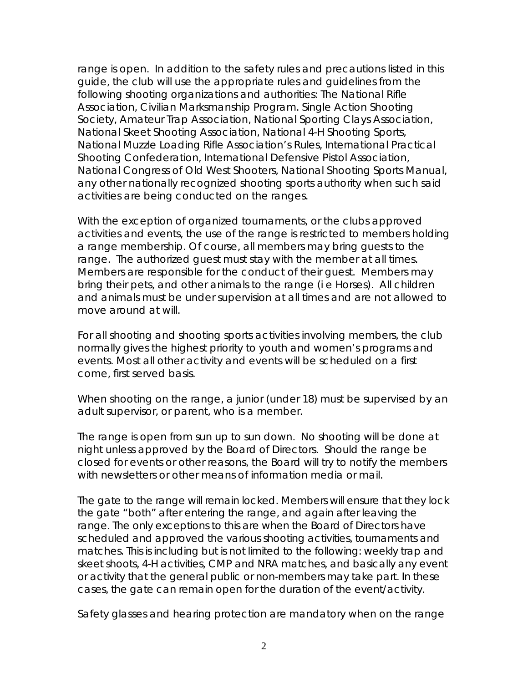range is open. In addition to the safety rules and precautions listed in this guide, the club will use the appropriate rules and guidelines from the following shooting organizations and authorities: The National Rifle Association, Civilian Marksmanship Program. Single Action Shooting Society, Amateur Trap Association, National Sporting Clays Association, National Skeet Shooting Association, National 4-H Shooting Sports, National Muzzle Loading Rifle Association's Rules, International Practical Shooting Confederation, International Defensive Pistol Association, National Congress of Old West Shooters, National Shooting Sports Manual, any other nationally recognized shooting sports authority when such said activities are being conducted on the ranges.

With the exception of organized tournaments, or the clubs approved activities and events, the use of the range is restricted to members holding a range membership. Of course, all members may bring guests to the range. The authorized guest must stay with the member at all times. Members are responsible for the conduct of their guest. Members may bring their pets, and other animals to the range (i e Horses). All children and animals must be under supervision at all times and are not allowed to move around at will.

For all shooting and shooting sports activities involving members, the club normally gives the highest priority to youth and women's programs and events. Most all other activity and events will be scheduled on a first come, first served basis.

When shooting on the range, a junior (under 18) must be supervised by an adult supervisor, or parent, who is a member.

The range is open from sun up to sun down. No shooting will be done at night unless approved by the Board of Directors. Should the range be closed for events or other reasons, the Board will try to notify the members with newsletters or other means of information media or mail.

The gate to the range will remain locked. Members will ensure that they lock the gate "both" after entering the range, and again after leaving the range. The only exceptions to this are when the Board of Directors have scheduled and approved the various shooting activities, tournaments and matches. This is including but is not limited to the following: weekly trap and skeet shoots, 4-H activities, CMP and NRA matches, and basically any event or activity that the general public or non-members may take part. In these cases, the gate can remain open for the duration of the event/activity.

Safety glasses and hearing protection are mandatory when on the range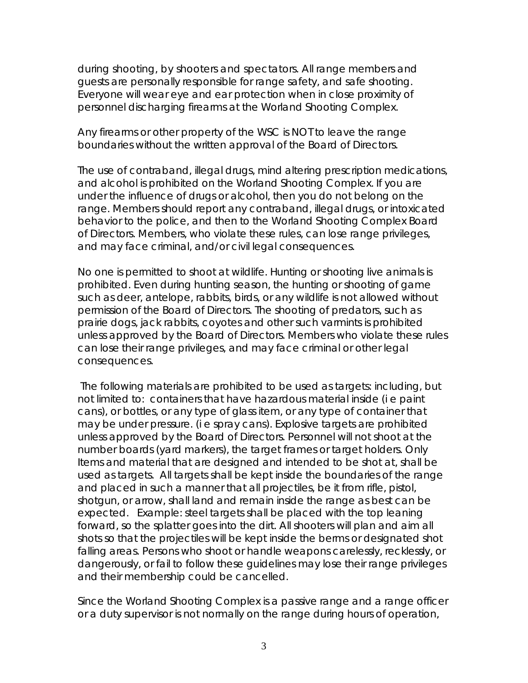during shooting, by shooters and spectators. All range members and guests are personally responsible for range safety, and safe shooting. Everyone will wear eye and ear protection when in close proximity of personnel discharging firearms at the Worland Shooting Complex.

Any firearms or other property of the WSC is NOT to leave the range boundaries without the written approval of the Board of Directors.

The use of contraband, illegal drugs, mind altering prescription medications, and alcohol is prohibited on the Worland Shooting Complex. If you are under the influence of drugs or alcohol, then you do not belong on the range. Members should report any contraband, illegal drugs, or intoxicated behavior to the police, and then to the Worland Shooting Complex Board of Directors. Members, who violate these rules, can lose range privileges, and may face criminal, and/or civil legal consequences.

No one is permitted to shoot at wildlife. Hunting or shooting live animals is prohibited. Even during hunting season, the hunting or shooting of game such as deer, antelope, rabbits, birds, or any wildlife is not allowed without permission of the Board of Directors. The shooting of predators, such as prairie dogs, jack rabbits, coyotes and other such varmints is prohibited unless approved by the Board of Directors. Members who violate these rules can lose their range privileges, and may face criminal or other legal consequences.

The following materials are prohibited to be used as targets: including, but not limited to: containers that have hazardous material inside (i e paint cans), or bottles, or any type of glass item, or any type of container that may be under pressure. (i e spray cans). Explosive targets are prohibited unless approved by the Board of Directors. Personnel will not shoot at the number boards (yard markers), the target frames or target holders. Only Items and material that are designed and intended to be shot at, shall be used as targets. All targets shall be kept inside the boundaries of the range and placed in such a manner that all projectiles, be it from rifle, pistol, shotgun, or arrow, shall land and remain inside the range as best can be expected. Example: steel targets shall be placed with the top leaning forward, so the splatter goes into the dirt. All shooters will plan and aim all shots so that the projectiles will be kept inside the berms or designated shot falling areas. Persons who shoot or handle weapons carelessly, recklessly, or dangerously, or fail to follow these guidelines may lose their range privileges and their membership could be cancelled.

Since the Worland Shooting Complex is a passive range and a range officer or a duty supervisor is not normally on the range during hours of operation,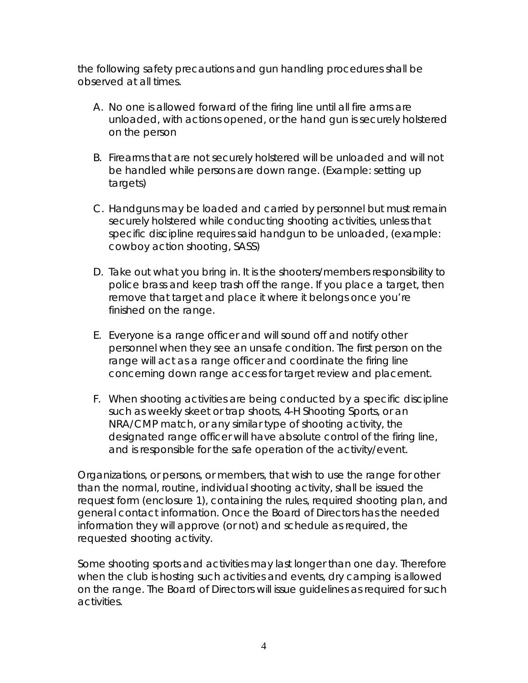the following safety precautions and gun handling procedures shall be observed at all times.

- A. No one is allowed forward of the firing line until all fire arms are unloaded, with actions opened, or the hand gun is securely holstered on the person
- B. Firearms that are not securely holstered will be unloaded and will not be handled while persons are down range. (Example: setting up targets)
- C. Handguns may be loaded and carried by personnel but must remain securely holstered while conducting shooting activities, unless that specific discipline requires said handgun to be unloaded, (example: cowboy action shooting, SASS)
- D. Take out what you bring in. It is the shooters/members responsibility to police brass and keep trash off the range. If you place a target, then remove that target and place it where it belongs once you're finished on the range.
- E. Everyone is a range officer and will sound off and notify other personnel when they see an unsafe condition. The first person on the range will act as a range officer and coordinate the firing line concerning down range access for target review and placement.
- F. When shooting activities are being conducted by a specific discipline such as weekly skeet or trap shoots, 4-H Shooting Sports, or an NRA/CMP match, or any similar type of shooting activity, the designated range officer will have absolute control of the firing line, and is responsible for the safe operation of the activity/event.

Organizations, or persons, or members, that wish to use the range for other than the normal, routine, individual shooting activity, shall be issued the request form (enclosure 1), containing the rules, required shooting plan, and general contact information. Once the Board of Directors has the needed information they will approve (or not) and schedule as required, the requested shooting activity.

Some shooting sports and activities may last longer than one day. Therefore when the club is hosting such activities and events, dry camping is allowed on the range. The Board of Directors will issue guidelines as required for such activities.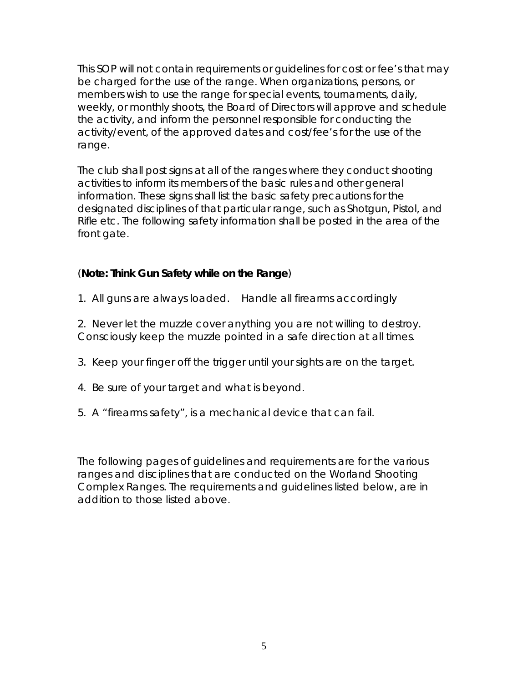This SOP will not contain requirements or guidelines for cost or fee's that may be charged for the use of the range. When organizations, persons, or members wish to use the range for special events, tournaments, daily, weekly, or monthly shoots, the Board of Directors will approve and schedule the activity, and inform the personnel responsible for conducting the activity/event, of the approved dates and cost/fee's for the use of the range.

The club shall post signs at all of the ranges where they conduct shooting activities to inform its members of the basic rules and other general information. These signs shall list the basic safety precautions for the designated disciplines of that particular range, such as Shotgun, Pistol, and Rifle etc. The following safety information shall be posted in the area of the front gate.

# (**Note: Think Gun Safety while on the Range**)

1. All guns are always loaded. Handle all firearms accordingly

2. Never let the muzzle cover anything you are not willing to destroy. Consciously keep the muzzle pointed in a safe direction at all times.

- 3. Keep your finger off the trigger until your sights are on the target.
- 4. Be sure of your target and what is beyond.
- 5. A "firearms safety", is a mechanical device that can fail.

The following pages of guidelines and requirements are for the various ranges and disciplines that are conducted on the Worland Shooting Complex Ranges. The requirements and guidelines listed below, are in addition to those listed above.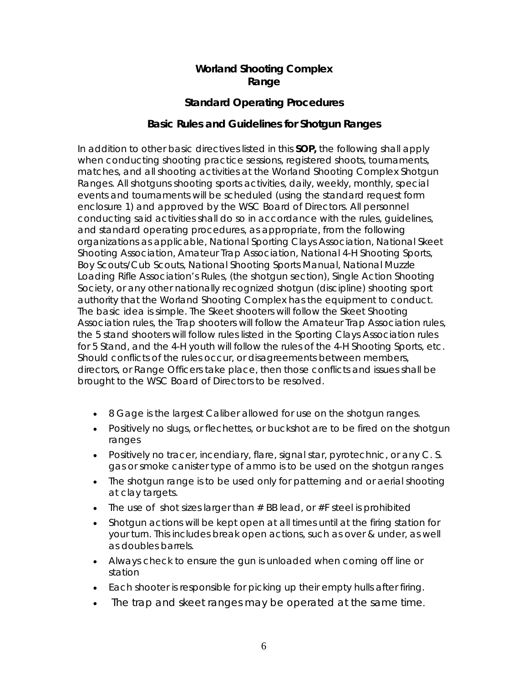# **Worland Shooting Complex Range**

# **Standard Operating Procedures**

### **Basic Rules and Guidelines for Shotgun Ranges**

In addition to other basic directives listed in this **SOP,** the following shall apply when conducting shooting practice sessions, registered shoots, tournaments, matches, and all shooting activities at the Worland Shooting Complex Shotgun Ranges. All shotguns shooting sports activities, daily, weekly, monthly, special events and tournaments will be scheduled (using the standard request form enclosure 1) and approved by the WSC Board of Directors. All personnel conducting said activities shall do so in accordance with the rules, guidelines, and standard operating procedures, as appropriate, from the following organizations as applicable, National Sporting Clays Association, National Skeet Shooting Association, Amateur Trap Association, National 4-H Shooting Sports, Boy Scouts/Cub Scouts, National Shooting Sports Manual, National Muzzle Loading Rifle Association's Rules, (the shotgun section), Single Action Shooting Society, or any other nationally recognized shotgun (discipline) shooting sport authority that the Worland Shooting Complex has the equipment to conduct. The basic idea is simple. The Skeet shooters will follow the Skeet Shooting Association rules, the Trap shooters will follow the Amateur Trap Association rules, the 5 stand shooters will follow rules listed in the Sporting Clays Association rules for 5 Stand, and the 4-H youth will follow the rules of the 4-H Shooting Sports, etc. Should conflicts of the rules occur, or disagreements between members, directors, or Range Officers take place, then those conflicts and issues shall be brought to the WSC Board of Directors to be resolved.

- 8 Gage is the largest Caliber allowed for use on the shotgun ranges.
- Positively no slugs, or flechettes, or buckshot are to be fired on the shotgun ranges
- Positively no tracer, incendiary, flare, signal star, pyrotechnic, or any C. S. gas or smoke canister type of ammo is to be used on the shotgun ranges
- The shotgun range is to be used only for patterning and or aerial shooting at clay targets.
- The use of shot sizes larger than  $#$  BB lead, or  $#F$  steel is prohibited
- Shotgun actions will be kept open at all times until at the firing station for your turn. This includes break open actions, such as over & under, as well as doubles barrels.
- Always check to ensure the gun is unloaded when coming off line or station
- Each shooter is responsible for picking up their empty hulls after firing.
- The trap and skeet ranges may be operated at the same time.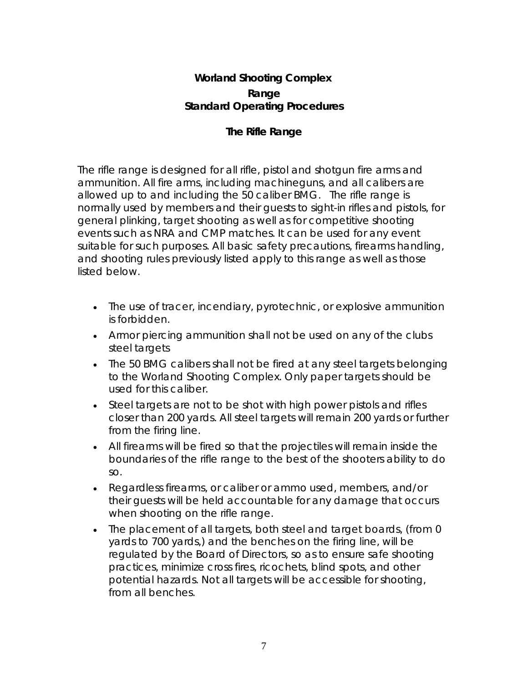# **The Rifle Range**

The rifle range is designed for all rifle, pistol and shotgun fire arms and ammunition. All fire arms, including machineguns, and all calibers are allowed up to and including the 50 caliber BMG. The rifle range is normally used by members and their guests to sight-in rifles and pistols, for general plinking, target shooting as well as for competitive shooting events such as NRA and CMP matches. It can be used for any event suitable for such purposes. All basic safety precautions, firearms handling, and shooting rules previously listed apply to this range as well as those listed below.

- The use of tracer, incendiary, pyrotechnic, or explosive ammunition is forbidden.
- Armor piercing ammunition shall not be used on any of the clubs steel targets
- The 50 BMG calibers shall not be fired at any steel targets belonging to the Worland Shooting Complex. Only paper targets should be used for this caliber.
- Steel targets are not to be shot with high power pistols and rifles closer than 200 yards. All steel targets will remain 200 yards or further from the firing line.
- All firearms will be fired so that the projectiles will remain inside the boundaries of the rifle range to the best of the shooters ability to do so.
- Regardless firearms, or caliber or ammo used, members, and/or their guests will be held accountable for any damage that occurs when shooting on the rifle range.
- The placement of all targets, both steel and target boards, (from 0) yards to 700 yards,) and the benches on the firing line, will be regulated by the Board of Directors, so as to ensure safe shooting practices, minimize cross fires, ricochets, blind spots, and other potential hazards. Not all targets will be accessible for shooting, from all benches.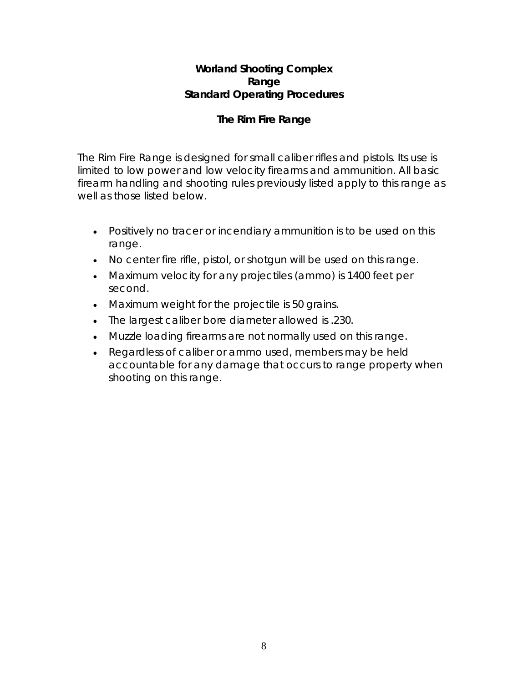# **The Rim Fire Range**

The Rim Fire Range is designed for small caliber rifles and pistols. Its use is limited to low power and low velocity firearms and ammunition. All basic firearm handling and shooting rules previously listed apply to this range as well as those listed below.

- Positively no tracer or incendiary ammunition is to be used on this range.
- No center fire rifle, pistol, or shotgun will be used on this range.
- Maximum velocity for any projectiles (ammo) is 1400 feet per second.
- Maximum weight for the projectile is 50 grains.
- The largest caliber bore diameter allowed is .230.
- Muzzle loading firearms are not normally used on this range.
- Regardless of caliber or ammo used, members may be held accountable for any damage that occurs to range property when shooting on this range.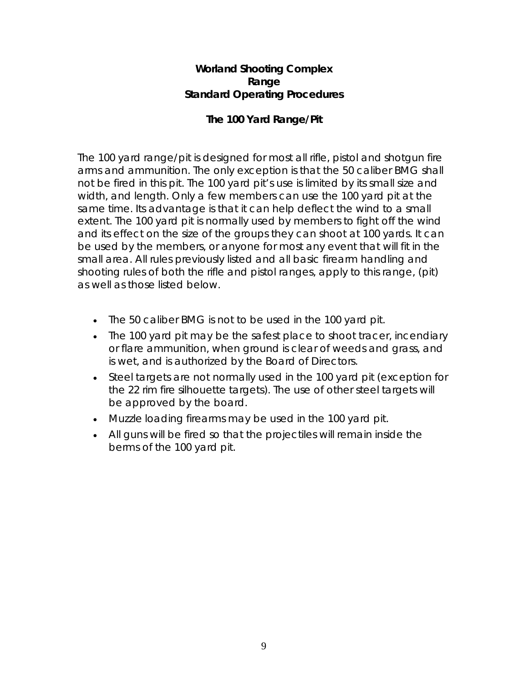## **The 100 Yard Range/Pit**

The 100 yard range/pit is designed for most all rifle, pistol and shotgun fire arms and ammunition. The only exception is that the 50 caliber BMG shall not be fired in this pit. The 100 yard pit's use is limited by its small size and width, and length. Only a few members can use the 100 yard pit at the same time. Its advantage is that it can help deflect the wind to a small extent. The 100 yard pit is normally used by members to fight off the wind and its effect on the size of the groups they can shoot at 100 yards. It can be used by the members, or anyone for most any event that will fit in the small area. All rules previously listed and all basic firearm handling and shooting rules of both the rifle and pistol ranges, apply to this range, (pit) as well as those listed below.

- The 50 caliber BMG is not to be used in the 100 yard pit.
- The 100 yard pit may be the safest place to shoot tracer, incendiary or flare ammunition, when ground is clear of weeds and grass, and is wet, and is authorized by the Board of Directors.
- Steel targets are not normally used in the 100 yard pit (exception for the 22 rim fire silhouette targets). The use of other steel targets will be approved by the board.
- Muzzle loading firearms may be used in the 100 yard pit.
- All guns will be fired so that the projectiles will remain inside the berms of the 100 yard pit.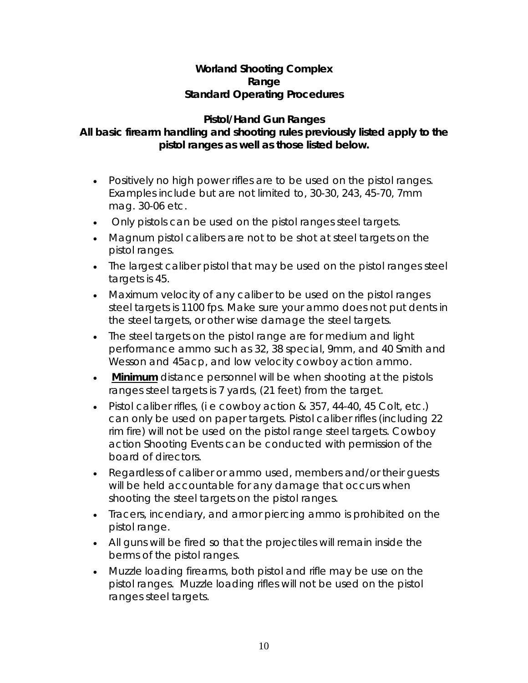#### **Pistol/Hand Gun Ranges All basic firearm handling and shooting rules previously listed apply to the pistol ranges as well as those listed below.**

- Positively no high power rifles are to be used on the pistol ranges. Examples include but are not limited to, 30-30, 243, 45-70, 7mm mag. 30-06 etc.
- Only pistols can be used on the pistol ranges steel targets.
- Magnum pistol calibers are not to be shot at steel targets on the pistol ranges.
- The largest caliber pistol that may be used on the pistol ranges steel targets is 45.
- Maximum velocity of any caliber to be used on the pistol ranges steel targets is 1100 fps. Make sure your ammo does not put dents in the steel targets, or other wise damage the steel targets.
- The steel targets on the pistol range are for medium and light performance ammo such as 32, 38 special, 9mm, and 40 Smith and Wesson and 45acp, and low velocity cowboy action ammo.
- *Minimum* distance personnel will be when shooting at the pistols ranges steel targets is 7 yards, (21 feet) from the target.
- Pistol caliber rifles, (i e cowboy action & 357, 44-40, 45 Colt, etc.) can only be used on paper targets. Pistol caliber rifles (including 22 rim fire) will not be used on the pistol range steel targets. Cowboy action Shooting Events can be conducted with permission of the board of directors.
- Regardless of caliber or ammo used, members and/or their guests will be held accountable for any damage that occurs when shooting the steel targets on the pistol ranges.
- Tracers, incendiary, and armor piercing ammo is prohibited on the pistol range.
- All guns will be fired so that the projectiles will remain inside the berms of the pistol ranges.
- Muzzle loading firearms, both pistol and rifle may be use on the pistol ranges. Muzzle loading rifles will not be used on the pistol ranges steel targets.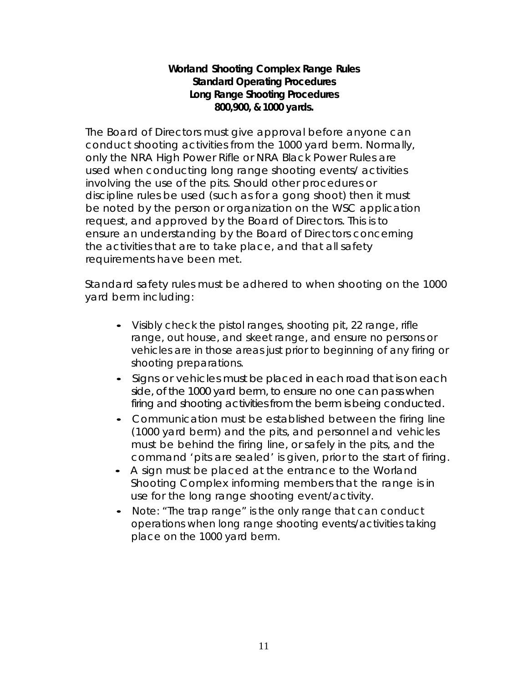## **Worland Shooting Complex Range Rules Standard Operating Procedures Long Range Shooting Procedures 800,900, & 1000 yards.**

The Board of Directors must give approval before anyone can conduct shooting activities from the 1000 yard berm. Normally, only the NRA High Power Rifle or NRA Black Power Rules are used when conducting long range shooting events/ activities involving the use of the pits. Should other procedures or discipline rules be used (such as for a gong shoot) then it must be noted by the person or organization on the WSC application request, and approved by the Board of Directors. This is to ensure an understanding by the Board of Directors concerning the activities that are to take place, and that all safety requirements have been met.

Standard safety rules must be adhered to when shooting on the 1000 yard berm including:

- Visibly check the pistol ranges, shooting pit, 22 range, rifle range, out house, and skeet range, and ensure no persons or vehicles are in those areas just prior to beginning of any firing or shooting preparations.
- Signs or vehicles must be placed in each road that is on each side, of the 1000 yard berm, to ensure no one can pass when firing and shooting activities from the berm is being conducted.
- Communication must be established between the firing line (1000 yard berm) and the pits, and personnel and vehicles must be behind the firing line, or safely in the pits, and the command 'pits are sealed' is given, prior to the start of firing.
- A sign must be placed at the entrance to the Worland Shooting Complex informing members that the range is in use for the long range shooting event/activity.
- Note: "The trap range" is the only range that can conduct operations when long range shooting events/activities taking place on the 1000 yard berm.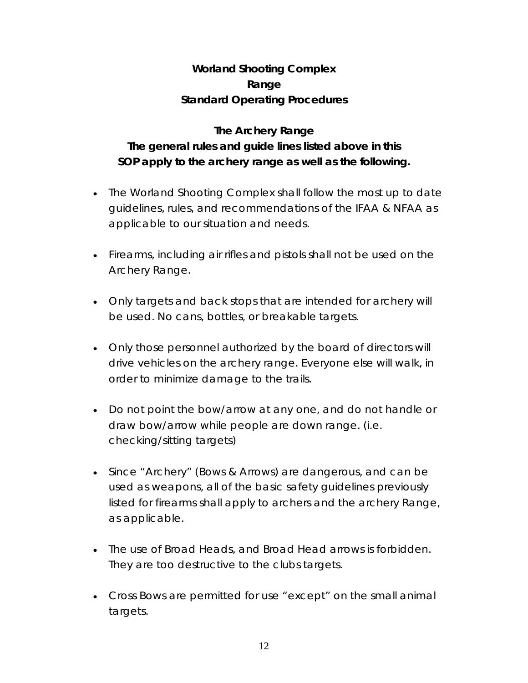# **The Archery Range The general rules and guide lines listed above in this SOP apply to the archery range as well as the following.**

- The Worland Shooting Complex shall follow the most up to date guidelines, rules, and recommendations of the IFAA & NFAA as applicable to our situation and needs.
- Firearms, including air rifles and pistols shall not be used on the Archery Range.
- Only targets and back stops that are intended for archery will be used. No cans, bottles, or breakable targets.
- Only those personnel authorized by the board of directors will drive vehicles on the archery range. Everyone else will walk, in order to minimize damage to the trails.
- Do not point the bow/arrow at any one, and do not handle or draw bow/arrow while people are down range. (i.e. checking/sitting targets)
- Since "Archery" (Bows & Arrows) are dangerous, and can be used as weapons, all of the basic safety guidelines previously listed for firearms shall apply to archers and the archery Range, as applicable.
- The use of Broad Heads, and Broad Head arrows is forbidden. They are too destructive to the clubs targets.
- Cross Bows are permitted for use "except" on the small animal targets.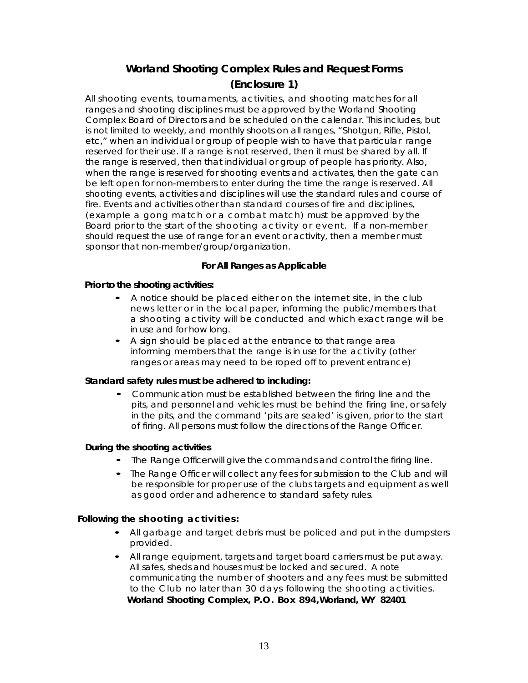# **Worland Shooting Complex Rules and Request Forms (Enclosure 1)**

All shooting events, tournaments, activities, and shooting matches for all ranges and shooting disciplines must be approved by the Worland Shooting Complex Board of Directors and be scheduled on the calendar. This includes, but is not limited to weekly, and monthly shoots on all ranges, "Shotgun, Rifle, Pistol, etc," when an individual or group of people wish to have that particular range reserved for their use. If a range is not reserved, then it must be shared by all. If the range is reserved, then that individual or group of people has priority. Also, when the range is reserved for shooting events and activates, then the gate can be left open for non-members to enter during the time the range is reserved. All shooting events, activities and disciplines will use the standard rules and course of fire. Events and activities other than standard courses of fire and disciplines, (example a gong match or a combat match) must be approved by the Board prior to the start of the shooting activity or event. If a non-member should request the use of range for an event or activity, then a member must sponsor that non-member/group/organization.

#### **For All Ranges as Applicable**

#### **Prior to the shooting activities:**

- A notice should be placed either on the internet site, in the club news letter or in the local paper, informing the public/members that a shooting activity will be conducted and which exact range will be in use and for how long.
- <sup>A</sup> sign should be placed at the entrance to that range area informing members that the range is in use for the activity (other ranges or areas may need to be roped off to prevent entrance)

#### **Standard safety rules must be adhered to including:**

• Communication must be established between the firing line and the pits, and personnel and vehicles must be behind the firing line, or safely in the pits, and the command 'pits are sealed' is given, prior to the start of firing. All persons must follow the directions of the Range Officer.

#### **During the shooting activities**

- The Range Officer will give the commands and control the firing line.
- The Range Officer will collect any fees for submission to the Club and will be responsible for proper use of the clubs targets and equipment as well as good order and adherence to standard safety rules.

#### **Following the shooting activities :**

- All garbage and target debris must be policed and put in the dumpsters provided.
- All range equipment, targets and target board carriers must be put away. All safes, sheds and houses must be locked and secured. A note communicating the number of shooters and any fees must be submitted to the Club no later than 30 days following the shooting activities. **Worland Shooting Complex, P.O. Box 894,Worland, WY 82401**